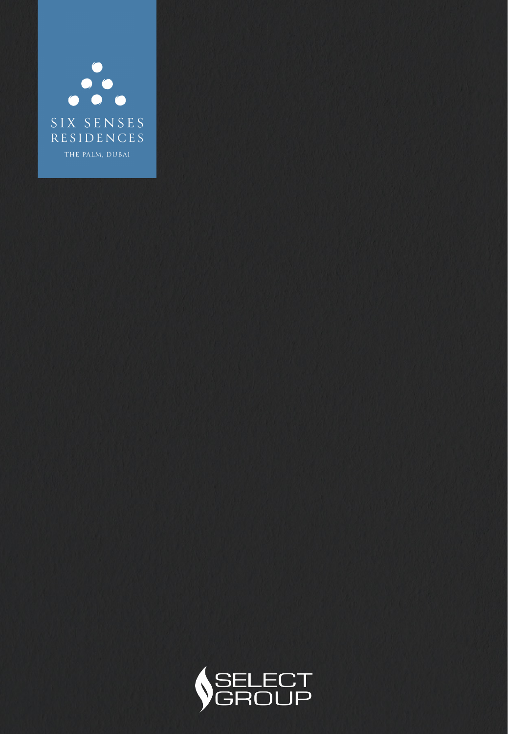

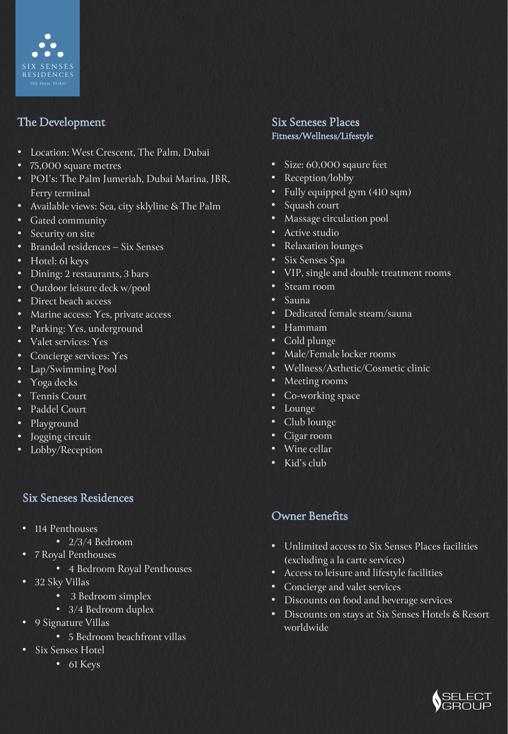

# The Development

- Location: West Crescent, The Palm, Dubai
- 75,000 square metres
- POI's: The Palm Jumeriah, Dubai Marina, JBR, Ferry terminal
- Available views: Sea, city sklyline & The Palm
- Gated community
- Security on site
- Branded residences Six Senses
- Hotel: 61 keys
- Dining: 2 restaurants, 3 bars
- Outdoor leisure deck w/pool
- Direct beach access
- Marine access: Yes, private access
- Parking: Yes, underground
- Valet services: Yes
- Concierge services: Yes
- Lap/Swimming Pool
- Yoga decks
- Tennis Court
- Paddel Court
- Playground
- Jogging circuit
- Lobby/Reception

### Six Seneses Residences

- 114 Penthouses
	- 2/3/4 Bedroom
- 7 Royal Penthouses
	- 4 Bedroom Royal Penthouses
- 32 Sky Villas
	- 3 Bedroom simplex
	- 3/4 Bedroom duplex
- 9 Signature Villas
	- 5 Bedroom beachfront villas
- Six Senses Hotel
	- 61 Keys

#### Six Seneses Places Fitness/Wellness/Lifestyle

- Size: 60,000 sqaure feet
- Reception/lobby
- Fully equipped gym (410 sqm)
- Squash court
- Massage circulation pool
- Active studio
- Relaxation lounges
- Six Senses Spa
- VIP, single and double treatment rooms
- Steam room
- Sauna
- Dedicated female steam/sauna
- Hammam
- Cold plunge
- Male/Female locker rooms
- Wellness/Asthetic/Cosmetic clinic
- Meeting rooms
- Co-working space
- Lounge
- Club lounge
- Cigar room
- Wine cellar
- Kid's club

# Owner Benefits

- Unlimited access to Six Senses Places facilities (excluding a la carte services)
- Access to leisure and lifestyle facilities
- Concierge and valet services
- Discounts on food and beverage services
- Discounts on stays at Six Senses Hotels & Resort worldwide

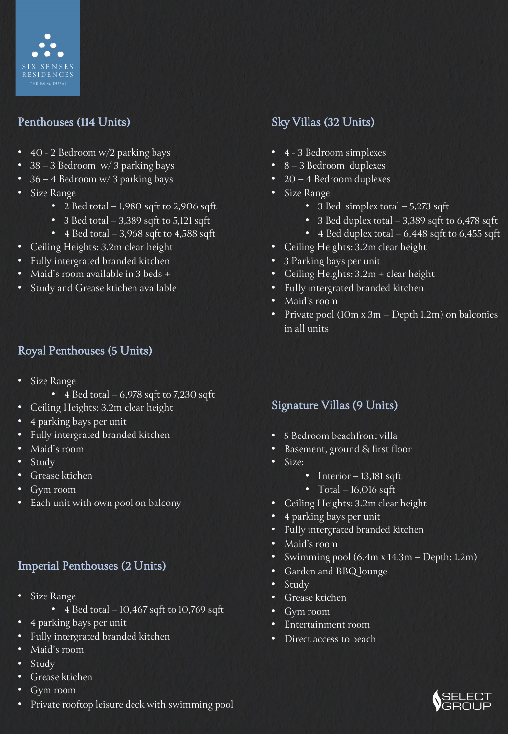

## Penthouses (114 Units)

- 40 2 Bedroom w/2 parking bays
- 38 3 Bedroom w/ 3 parking bays
- 36 4 Bedroom w/ 3 parking bays
- Size Range
	- 2 Bed total  $-1,980$  sqft to 2,906 sqft
	- 3 Bed total  $-3,389$  sqft to 5,121 sqft
	- 4 Bed total  $-3,968$  sqft to 4,588 sqft
- Ceiling Heights: 3.2m clear height
- Fully intergrated branded kitchen
- Maid's room available in 3 beds +
- Study and Grease ktichen available

## Royal Penthouses (5 Units)

- Size Range
	- 4 Bed total  $-6,978$  sqft to 7,230 sqft
- Ceiling Heights: 3.2m clear height
- 4 parking bays per unit
- Fully intergrated branded kitchen
- Maid's room
- Study
- Grease ktichen
- Gym room
- Each unit with own pool on balcony

### Imperial Penthouses (2 Units)

- Size Range
	- 4 Bed total  $-10,467$  sqft to  $10,769$  sqft
	- 4 parking bays per unit
- Fully intergrated branded kitchen
- Maid's room
- Study
- Grease ktichen
- Gym room
- Private rooftop leisure deck with swimming pool

## Sky Villas (32 Units)

- 4 3 Bedroom simplexes
- 8 3 Bedroom duplexes
- 20 4 Bedroom duplexes
- Size Range
	- 3 Bed simplex total 5,273 sqft
	- 3 Bed duplex total 3,389 sqft to 6,478 sqft
	- 4 Bed duplex total 6,448 sqft to 6,455 sqft
- Ceiling Heights: 3.2m clear height
- 3 Parking bays per unit
- Ceiling Heights: 3.2m + clear height
- Fully intergrated branded kitchen
- Maid's room
- Private pool (10m x 3m Depth 1.2m) on balconies in all units

#### Signature Villas (9 Units)

- 5 Bedroom beachfront villa
- Basement, ground & first floor
- Size:
	- Interior 13,181 sqft
	- Total 16,016 sqft
- Ceiling Heights: 3.2m clear height
- 4 parking bays per unit
- Fully intergrated branded kitchen
- Maid's room
- Swimming pool (6.4m x 14.3m Depth: 1.2m)
- Garden and BBQ lounge
- Study
- Grease ktichen
- Gym room
- Entertainment room
- Direct access to beach